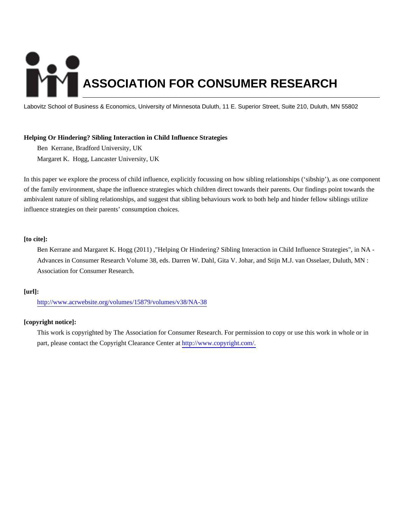# **ASSOCIATION FOR CONSUMER RESEARCH**

Labovitz School of Business & Economics, University of Minnesota Duluth, 11 E. Superior Street, Suite 210, Duluth, MN 55802

# **Helping Or Hindering? Sibling Interaction in Child Influence Strategies**

Ben Kerrane, Bradford University, UK Margaret K. Hogg, Lancaster University, UK

In this paper we explore the process of child influence, explicitly focussing on how sibling relationships ('sibship'), as one component of the family environment, shape the influence strategies which children direct towards their parents. Our findings point towards the ambivalent nature of sibling relationships, and suggest that sibling behaviours work to both help and hinder fellow siblings utilize influence strategies on their parents' consumption choices.

# **[to cite]:**

Ben Kerrane and Margaret K. Hogg (2011) ,"Helping Or Hindering? Sibling Interaction in Child Influence Strategies", in NA - Advances in Consumer Research Volume 38, eds. Darren W. Dahl, Gita V. Johar, and Stijn M.J. van Osselaer, Duluth, MN : Association for Consumer Research.

# **[url]:**

<http://www.acrwebsite.org/volumes/15879/volumes/v38/NA-38>

# **[copyright notice]:**

This work is copyrighted by The Association for Consumer Research. For permission to copy or use this work in whole or in part, please contact the Copyright Clearance Center at [http://www.copyright.com/.](http://www.copyright.com/)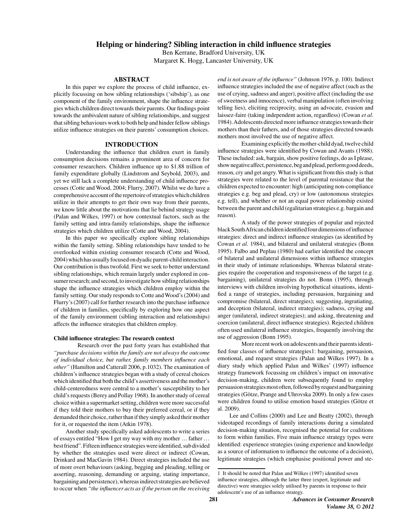Ben Kerrane, Bradford University, UK Margaret K. Hogg, Lancaster University, UK

## **ABSTRACT**

In this paper we explore the process of child influence, explicitly focussing on how sibling relationships ('sibship'), as one component of the family environment, shape the influence strategies which children direct towards their parents. Our findings point towards the ambivalent nature of sibling relationships, and suggest that sibling behaviours work to both help and hinder fellow siblings utilize influence strategies on their parents' consumption choices.

#### **INTRODUCTION**

Understanding the influence that children exert in family consumption decisions remains a prominent area of concern for consumer researchers. Children influence up to \$1.88 trillion of family expenditure globally (Lindstrom and Seybold, 2003), and yet we still lack a complete understanding of child influence processes (Cotte and Wood, 2004; Flurry, 2007). Whilst we do have a comprehensive account of the repertoire of strategies which children utilize in their attempts to get their own way from their parents, we know little about the motivations that lie behind strategy usage (Palan and Wilkes, 1997) or how contextual factors, such as the family setting and intra-family relationships, shape the influence strategies which children utilize (Cotte and Wood, 2004).

In this paper we specifically explore sibling relationships within the family setting. Sibling relationships have tended to be overlooked within existing consumer research (Cotte and Wood, 2004) which has usually focused on dyadic parent-child interaction. Our contribution is thus twofold. First we seek to better understand sibling relationships, which remain largely under explored in consumer research; and second, to investigate how sibling relationships shape the influence strategies which children employ within the family setting. Our study responds to Cotte and Wood's (2004) and Flurry's (2007) call for further research into the purchase influence of children in families, specifically by exploring how one aspect of the family environment (sibling interaction and relationships) affects the influence strategies that children employ.

#### Child influence strategies: The research context

Research over the past forty years has established that "purchase decisions within the family are not always the outcome of individual choice, but rather, family members influence each other" (Hamilton and Catterall 2006, p.1032). The examination of children's influence strategies began with a study of cereal choices which identified that both the child's assertiveness and the mother's child-centeredness were central to a mother's susceptibility to her child's requests (Berey and Pollay 1968). In another study of cereal choice within a supermarket setting, children were more successful if they told their mothers to buy their preferred cereal, or if they demanded their choice, rather than if they simply asked their mother for it, or requested the item (Atkin 1978).

Another study specifically asked adolescents to write a series of essays entitled "How I get my way with my mother ... father ... best friend". Fifteen influence strategies were identified, sub divided by whether the strategies used were direct or indirect (Cowan, Drinkard and MacGavin 1984). Direct strategies included the use of more overt behaviours (asking, begging and pleading, telling or asserting, reasoning, demanding or arguing, stating importance, bargaining and persistence), whereas indirect strategies are believed to occur when "the influencer acts as if the person on the receiving

end is not aware of the influence" (Johnson 1976, p. 100). Indirect influence strategies included the use of negative affect (such as the use of crying, sadness and anger), positive affect (including the use of sweetness and innocence), verbal manipulation (often involving telling lies), eliciting reciprocity, using an advocate, evasion and laissez-faire (taking independent action, regardless) (Cowan et al. 1984). Adolescents directed more influence strategies towards their mothers than their fathers, and of those strategies directed towards mothers most involved the use of negative affect.

Examining explicitly the mother-child dyad, twelve child influence strategies were identified by Cowan and Avants (1988). These included: ask, bargain, show positive feelings, do as I please, show negative affect, persistence, beg and plead, perform good deeds, reason, cry and get angry. What is significant from this study is that strategies were related to the level of parental resistance that the children expected to encounter: high (anticipating non-compliance strategies e.g. beg and plead, cry) or low (autonomous strategies e.g. tell), and whether or not an equal power relationship existed between the parent and child (egalitarian strategies e.g. bargain and reason).

A study of the power strategies of popular and rejected black South African children identified four dimensions of influence strategies: direct and indirect influence strategies (as identified by Cowan et al. 1984), and bilateral and unilateral strategies (Bonn 1995). Falbo and Peplau (1980) had earlier identified the concept of bilateral and unilateral dimensions within influence strategies in their study of intimate relationships. Whereas bilateral strategies require the cooperation and responsiveness of the target (e.g. bargaining), unilateral strategies do not. Bonn (1995), through interviews with children involving hypothetical situations, identified a range of strategies, including persuasion, bargaining and compromise (bilateral, direct strategies); suggesting, ingratiating, and deception (bilateral, indirect strategies); sadness, crying and anger (unilateral, indirect strategies); and asking, threatening and coercion (unilateral, direct influence strategies). Rejected children often used unilateral influence strategies, frequently involving the use of aggression (Bonn 1995).

More recent work on adolescents and their parents identified four classes of influence strategies1: bargaining, persuasion, emotional, and request strategies (Palan and Wilkes 1997). In a diary study which applied Palan and Wilkes' (1997) influence strategy framework focussing on children's impact on innovative decision-making, children were subsequently found to employ persuasion strategies most often, followed by request and bargaining strategies (Götze, Prange and Uhrovska 2009). In only a few cases were children found to utilise emotion based strategies (Götze et al. 2009).

Lee and Collins (2000) and Lee and Beatty (2002), through videotaped recordings of family interactions during a simulated decision-making situation, recognised the potential for coalitions to form within families. Five main influence strategy types were identified: experience strategies (using experience and knowledge as a source of information to influence the outcome of a decision), legitimate strategies (which emphasise positional power and ste-

<sup>1</sup> It should be noted that Palan and Wilkes (1997) identified seven influence strategies, although the latter three (expert, legitimate and directive) were strategies solely utilised by parents in response to their adolescent's use of an influence strategy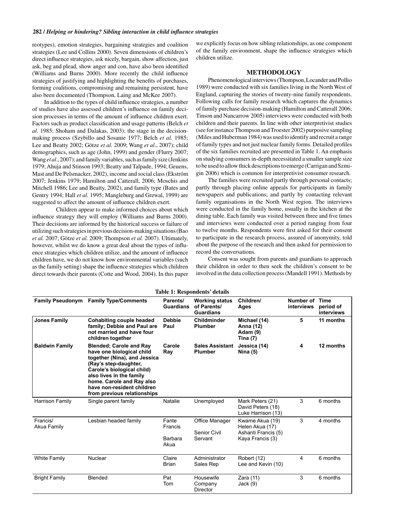reotypes), emotion strategies, bargaining strategies and coalition strategies (Lee and Collins 2000). Seven dimensions of children's direct influence strategies, ask nicely, bargain, show affection, just ask, beg and plead, show anger and con, have also been identified (Williams and Burns 2000). More recently the child influence strategies of justifying and highlighting the benefits of purchases, forming coalitions, compromising and remaining persistent, have also been documented (Thompson, Laing and McKee 2007).

In addition to the types of child influence strategies, a number of studies have also assessed children's influence on family decision processes in terms of the amount of influence children exert. Factors such as product classification and usage patterns (Belch et al. 1985; Shoham and Dalakas, 2003); the stage in the decisionmaking process (Szybillo and Sosanie 1977; Belch et al. 1985; Lee and Beatty 2002; Götze et al. 2009; Wang et al., 2007); child demographics, such as age (John, 1999) and gender (Flurry 2007; Wang et al., 2007); and family variables, such as family size (Jenkins 1979; Ahuja and Stinson 1993; Beatty and Talpade, 1994; Geuens, Mast and De Pelsmacker, 2002), income and social class (Ekström 2007; Jenkins 1979; Hamilton and Catterall, 2006; Moschis and Mitchell 1986; Lee and Beatty, 2002), and family type (Bates and Gentry 1994; Hall et al. 1995; Mangleburg and Grewal, 1999) are suggested to affect the amount of influence children exert.

Children appear to make informed choices about which influence strategy they will employ (Williams and Burns 2000). Their decisions are informed by the historical success or failure of utilizing such strategies in previous decision-making situations (Bao et al. 2007; Götze et al. 2009; Thompson et al. 2007). Ultimately, however, whilst we do know a great deal about the types of influence strategies which children utilize, and the amount of influence children have, we do not know how environmental variables (such as the family setting) shape the influence strategies which children direct towards their parents (Cotte and Wood, 2004). In this paper

we explicitly focus on how sibling relationships, as one component of the family environment, shape the influence strategies which children utilize.

## **METHODOLOGY**

Phenomenological interviews (Thompson, Locander and Pollio 1989) were conducted with six families living in the North West of England, capturing the stories of twenty-nine family respondents. Following calls for family research which captures the dynamics of family purchase decision-making (Hamilton and Catterall 2006; Tinson and Nancarrow 2005) interviews were conducted with both children and their parents. In line with other interpretivist studies (see for instance Thompson and Troester 2002) purposive sampling (Miles and Huberman 1984) was used to identify and recruit a range of family types and not just nuclear family forms. Detailed profiles of the six families recruited are presented in Table 1. An emphasis on studying consumers in-depth necessitated a smaller sample size to be used to allow thick descriptions to emerge (Carrigan and Szmigin 2006) which is common for interpretivist consumer research.

The families were recruited partly through personal contacts; partly through placing online appeals for participants in family newspapers and publications; and partly by contacting relevant family organisations in the North West region. The interviews were conducted in the family home, usually in the kitchen at the dining table. Each family was visited between three and five times and interviews were conducted over a period ranging from four to twelve months. Respondents were first asked for their consent to participate in the research process, assured of anonymity, told about the purpose of the research and then asked for permission to record the conversations.

Consent was sought from parents and guardians to approach their children in order to then seek the children's consent to be involved in the data collection process (Mandell 1991). Methods by

| <b>Table 1: Respondents' details</b> |                                                                                                                                                                                                                                                                          |                                     |                                                          |                                                                               |                              |                         |
|--------------------------------------|--------------------------------------------------------------------------------------------------------------------------------------------------------------------------------------------------------------------------------------------------------------------------|-------------------------------------|----------------------------------------------------------|-------------------------------------------------------------------------------|------------------------------|-------------------------|
| <b>Family Pseudonym</b>              | <b>Family Type/Comments</b>                                                                                                                                                                                                                                              | Parents/<br><b>Guardians</b>        | <b>Working status</b><br>of Parents/<br><b>Guardians</b> | Children/<br>Ages                                                             | Number of Time<br>interviews | period of<br>interviews |
| <b>Jones Family</b>                  | <b>Cohabiting couple headed</b><br>family; Debbie and Paul are<br>not married and have four<br>children together                                                                                                                                                         | <b>Debbie</b><br>Paul               | Childminder<br><b>Plumber</b>                            | Michael (14)<br>Anna (12)<br>Adam (9)<br><b>Tina (7)</b>                      | 5                            | 11 months               |
| <b>Baldwin Family</b>                | <b>Blended; Carole and Ray</b><br>have one biological child<br>together (Nina), and Jessica<br>(Ray's step-daughter,<br>Carole's biological child)<br>also lives in the family<br>home. Carole and Ray also<br>have non-resident children<br>from previous relationships | Carole<br>Ray                       | <b>Sales Assistant</b><br><b>Plumber</b>                 | Jessica (14)<br>Nina $(5)$                                                    | 4                            | 12 months               |
| Harrison Family                      | Single parent family                                                                                                                                                                                                                                                     | Natalie                             | Unemployed                                               | Mark Peters (21)<br>David Peters (18)<br>Luke Harrison (13)                   | 3                            | 6 months                |
| Francis/<br>Akua Family              | Lesbian headed family                                                                                                                                                                                                                                                    | Fante<br>Francis<br>Barbara<br>Akua | Office Manager<br>Senior Civil<br>Servant                | Kwame Akua (19)<br>Helen Akua (17)<br>Ashanti Francis (5)<br>Kaya Francis (3) | 3                            | 4 months                |
| <b>White Family</b>                  | Nuclear                                                                                                                                                                                                                                                                  | Claire<br>Brian                     | Administrator<br>Sales Rep                               | Robert (12)<br>Lee and Kevin (10)                                             | 4                            | 6 months                |
| <b>Bright Family</b>                 | Blended                                                                                                                                                                                                                                                                  | Pat<br>Tom                          | Housewife<br>Company<br>Director                         | Zara (11)<br>Jack(9)                                                          | 3                            | 6 months                |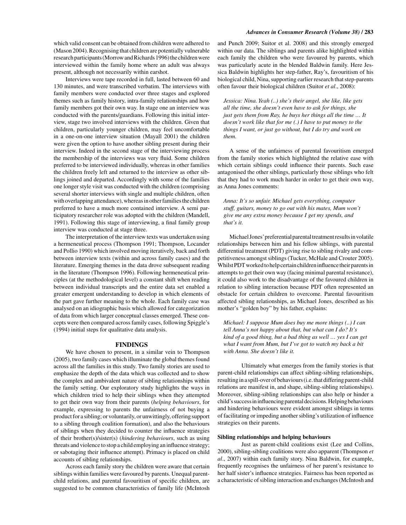which valid consent can be obtained from children were adhered to (Mason 2004). Recognising that children are potentially vulnerable research participants (Morrow and Richards 1996) the children were interviewed within the family home where an adult was always present, although not necessarily within earshot.

Interviews were tape recorded in full, lasted between 60 and 130 minutes, and were transcribed verbatim. The interviews with family members were conducted over three stages and explored themes such as family history, intra-family relationships and how family members got their own way. In stage one an interview was conducted with the parents/guardians. Following this initial interview, stage two involved interviews with the children. Given that children, particularly younger children, may feel uncomfortable in a one-on-one interview situation (Mayall 2001) the children were given the option to have another sibling present during their interview. Indeed in the second stage of the interviewing process the membership of the interviews was very fluid. Some children preferred to be interviewed individually, whereas in other families the children freely left and returned to the interview as other siblings joined and departed. Accordingly with some of the families one longer style visit was conducted with the children (comprising several shorter interviews with single and multiple children, often with overlapping attendance), whereas in other families the children preferred to have a much more contained interview. A semi participatory researcher role was adopted with the children (Mandell, 1991). Following this stage of interviewing, a final family group interview was conducted at stage three.

The interpretation of the interview texts was undertaken using a hermeneutical process (Thompson 1991; Thompson, Locander and Pollio 1990) which involved moving iteratively, back and forth between interview texts (within and across family cases) and the literature. Emerging themes in the data drove subsequent reading in the literature (Thompson 1996). Following hermeneutical principles (at the methodological level) a constant shift when reading between individual transcripts and the entire data set enabled a greater emergent understanding to develop in which elements of the part gave further meaning to the whole. Each family case was analysed on an idiographic basis which allowed for categorization of data from which larger conceptual classes emerged. These concepts were then compared across family cases, following Spiggle's (1994) initial steps for qualitative data analysis.

#### **FINDINGS**

We have chosen to present, in a similar vein to Thompson (2005), two family cases which illuminate the global themes found across all the families in this study. Two family stories are used to emphasize the depth of the data which was collected and to show the complex and ambivalent nature of sibling relationships within the family setting. Our exploratory study highlights the ways in which children tried to help their siblings when they attempted to get their own way from their parents (helping behaviours, for example, expressing to parents the unfairness of not buying a product for a sibling; or voluntarily, or unwittingly, offering support to a sibling through coalition formation), and also the behaviours of siblings when they decided to counter the influence strategies of their brother(s)/sister(s) (hindering behaviours, such as using threats and violence to stop a child employing an influence strategy; or sabotaging their influence attempt). Primacy is placed on child accounts of sibling relationships.

Across each family story the children were aware that certain siblings within families were favoured by parents. Unequal parentchild relations, and parental favouritism of specific children, are suggested to be common characteristics of family life (McIntosh and Punch 2009; Suitor et al. 2008) and this strongly emerged within our data. The siblings and parents alike highlighted within each family the children who were favoured by parents, which was particularly acute in the blended Baldwin family. Here Jessica Baldwin highlights her step-father, Ray's, favouritism of his biological child, Nina, supporting earlier research that step-parents often favour their biological children (Suitor et al., 2008):

Jessica: Nina. Yeah (..) she's their angel, she like, like gets all the time, she doesn't even have to ask for things, she just gets them from Ray, he buys her things all the time ... It  $does n't work like that for me (.) I have to put money to the$ things I want, or just go without, but I do try and work on them.

A sense of the unfairness of parental favouritism emerged from the family stories which highlighted the relative ease with which certain siblings could influence their parents. Such ease antagonised the other siblings, particularly those siblings who felt that they had to work much harder in order to get their own way, as Anna Jones comments:

Anna: It's so unfair. Michael gets everything, computer stuff, guitars, money to go out with his mates, Mum won't give me any extra money because I get my spends, and that's it.

Michael Jones' preferential parental treatment results in volatile relationships between him and his fellow siblings, with parental differential treatment (PDT) giving rise to sibling rivalry and competitiveness amongst siblings (Tucker, McHale and Crouter 2005). Whilst PDT worked to help certain children influence their parents in attempts to get their own way (facing minimal parental resistance), it could also work to the disadvantage of the favoured children in relation to sibling interaction because PDT often represented an obstacle for certain children to overcome. Parental favouritism affected sibling relationships, as Michael Jones, described as his mother's "golden boy" by his father, explains:

Michael: I suppose Mum does buy me more things  $(.)$  I can tell Anna's not happy about that, but what can I do? It's kind of a good thing, but a bad thing as well ... yes I can get what I want from Mum, but I've got to watch my back a bit with Anna. She doesn't like it.

Ultimately what emerges from the family stories is that parent-child relationships can affect sibling-sibling relationships, resulting in a spill-over of behaviours (i.e. that differing parent-child relations are manifest in, and shape, sibling-sibling relationships). Moreover, sibling-sibling relationships can also help or hinder a child's success in influencing parental decisions. Helping behaviours and hindering behaviours were evident amongst siblings in terms of facilitating or impeding another sibling's utilization of influence strategies on their parents.

#### Sibling relationships and helping behaviours

Just as parent-child coalitions exist (Lee and Collins, 2000), sibling-sibling coalitions were also apparent (Thompson et al., 2007) within each family story. Nina Baldwin, for example, frequently recognises the unfairness of her parent's resistance to her half sister's influence strategies. Fairness has been reported as a characteristic of sibling interaction and exchanges (McIntosh and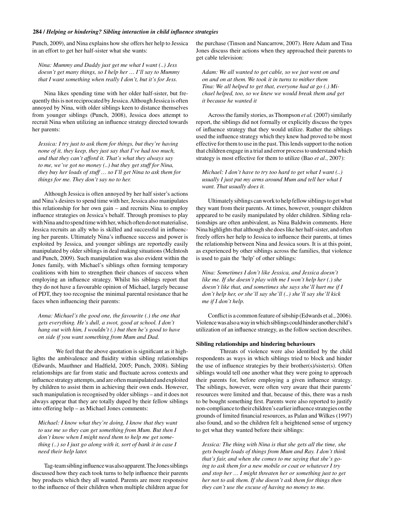Punch, 2009), and Nina explains how she offers her help to Jessica in an effort to get her half-sister what she wants:

Nina: Mummy and Daddy just get me what I want (..) Jess doesn't get many things, so I help her ... I'll say to Mummy that I want something when really I don't, but it's for Jess.

Nina likes spending time with her older half-sister, but frequently this is not reciprocated by Jessica. Although Jessica is often annoyed by Nina, with older siblings keen to distance themselves from younger siblings (Punch, 2008), Jessica does attempt to recruit Nina when utilizing an influence strategy directed towards her parents:

Jessica: I try just to ask them for things, but they're having none of it, they keep, they just say that I've had too much, and that they can't afford it. That's what they always say to me, we've got no money (..) but they get stuff for Nina, they buy her loads of stuff ... so I'll get Nina to ask them for things for me. They don't say no to her.

Although Jessica is often annoyed by her half sister's actions and Nina's desires to spend time with her, Jessica also manipulates this relationship for her own gain – and recruits Nina to employ influence strategies on Jessica's behalf. Through promises to play with Nina and to spend time with her, which often do not materialise, Jessica recruits an ally who is skilled and successful in influencing her parents. Ultimately Nina's influence success and power is exploited by Jessica, and younger siblings are reportedly easily manipulated by older siblings in deal making situations (McIntosh and Punch, 2009). Such manipulation was also evident within the Jones family, with Michael's siblings often forming temporary coalitions with him to strengthen their chances of success when employing an influence strategy. Whilst his siblings report that they do not have a favourable opinion of Michael, largely because of PDT, they too recognise the minimal parental resistance that he faces when influencing their parents:

Anna: Michael's the good one, the favourite (.) the one that gets everything. He's dull, a swot, good at school. I don't hang out with him, I wouldn't  $(.)$  but then he's good to have on side if you want something from Mum and Dad.

We feel that the above quotation is significant as it highlights the ambivalence and fluidity within sibling relationships (Edwards, Mauthner and Hadfield, 2005; Punch, 2008). Sibling relationships are far from static and fluctuate across contexts and influence strategy attempts, and are often manipulated and exploited by children to assist them in achieving their own ends. However, such manipulation is recognised by older siblings - and it does not always appear that they are totally duped by their fellow siblings into offering help - as Michael Jones comments:

Michael: I know what they're doing, I know that they want to use me so they can get something from Mum. But then I don't know when I might need them to help me get something  $(.)$  so I just go along with it, sort of bank it in case I need their help later.

Tag-team sibling influence was also apparent. The Jones siblings discussed how they each took turns to help influence their parents buy products which they all wanted. Parents are more responsive to the influence of their children when multiple children argue for the purchase (Tinson and Nancarrow, 2007). Here Adam and Tina Jones discuss their actions when they approached their parents to get cable television:

Adam: We all wanted to get cable, so we just went on and on and on at them. We took it in turns to mither them Tina: We all helped to get that, everyone had at go (.) Michael helped, too, so we knew we would break them and get it because he wanted it

Across the family stories, as Thompson et al. (2007) similarly report, the siblings did not formally or explicitly discuss the types of influence strategy that they would utilize. Rather the siblings used the influence strategy which they knew had proved to be most effective for them to use in the past. This lends support to the notion that children engage in a trial and error process to understand which strategy is most effective for them to utilize (Bao et al., 2007):

Michael: I don't have to try too hard to get what I want  $(.)$ usually I just put my arms around Mum and tell her what I want. That usually does it.

Ultimately siblings can work to help fellow siblings to get what they want from their parents. At times, however, younger children appeared to be easily manipulated by older children. Sibling relationships are often ambivalent, as Nina Baldwin comments. Here Nina highlights that although she does like her half-sister, and often freely offers her help to Jessica to influence their parents, at times the relationship between Nina and Jessica sours. It is at this point, as experienced by other siblings across the families, that violence is used to gain the 'help' of other siblings:

Nina: Sometimes I don't like Jessica, and Jessica doesn't like me. If she doesn't play with me I won't help her (.) she doesn't like that, and sometimes she says she'll hurt me if I don't help her, or she'll say she'll (..) she'll say she'll kick me if I don't help.

Conflict is a common feature of sibship (Edwards et al., 2006). Violence was also a way in which siblings could hinder another child's utilization of an influence strategy, as the follow section describes.

#### Sibling relationships and hindering behaviours

Threats of violence were also identified by the child respondents as ways in which siblings tried to block and hinder the use of influence strategies by their brother(s)/sister(s). Often siblings would tell one another what they were going to approach their parents for, before employing a given influence strategy. The siblings, however, were often very aware that their parents' resources were limited and that, because of this, there was a rush to be bought something first. Parents were also reported to justify non-compliance to their children's earlier influence strategies on the grounds of limited financial resources, as Palan and Wilkes (1997) also found, and so the children felt a heightened sense of urgency to get what they wanted before their siblings:

Jessica: The thing with Nina is that she gets all the time, she gets bought loads of things from Mum and Ray. I don't think that's fair, and when she comes to me saying that she's going to ask them for a new mobile or coat or whatever I try and stop her ... I might threaten her or something just to get her not to ask them. If she doesn't ask them for things then they can't use the excuse of having no money to me.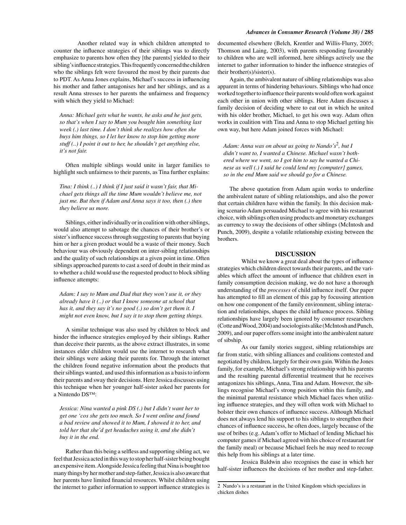Anna: Michael gets what he wants, he asks and he just gets, so that's when I say to Mum you bought him something last week (.) last time. I don't think she realizes how often she buys him things, so I let her know to stop him getting more stuff (..) I point it out to her, he shouldn't get anything else, it's not fair.

Often multiple siblings would unite in larger families to highlight such unfairness to their parents, as Tina further explains:

Tina: I think (..) I think if I just said it wasn't fair, that Michael gets things all the time Mum wouldn't believe me, not just me. But then if Adam and Anna says it too, then (.) then they believe us more.

Siblings, either individually or in coalition with other siblings, would also attempt to sabotage the chances of their brother's or sister's influence success through suggesting to parents that buying him or her a given product would be a waste of their money. Such behaviour was obviously dependent on inter-sibling relationships and the quality of such relationships at a given point in time. Often siblings approached parents to cast a seed of doubt in their mind as to whether a child would use the requested product to block sibling influence attempts:

Adam: I say to Mum and Dad that they won't use it, or they already have it (..) or that I know someone at school that has it, and they say it's no good (.) so don't get them it. I might not even know, but I say it to stop them getting things.

A similar technique was also used by children to block and hinder the influence strategies employed by their siblings. Rather than deceive their parents, as the above extract illustrates, in some instances elder children would use the internet to research what their siblings were asking their parents for. Through the internet the children found negative information about the products that their siblings wanted, and used this information as a basis to inform their parents and sway their decisions. Here Jessica discusses using this technique when her younger half-sister asked her parents for a Nintendo DSTM:

Jessica: Nina wanted a pink DS (.) but I didn't want her to get one 'cos she gets too much. So I went online and found a bad review and showed it to Mum, I showed it to her, and told her that she'd get headaches using it, and she didn't buy it in the end.

Rather than this being a selfless and supporting sibling act, we feel that Jessica acted in this way to stop her half-sister being bought an expensive item. Alongside Jessica feeling that Nina is bought too many things by her mother and step-father, Jessica is also aware that her parents have limited financial resources. Whilst children using the internet to gather information to support influence strategies is documented elsewhere (Belch, Krentler and Willis-Flurry, 2005; Thomson and Laing, 2003), with parents responding favourably to children who are well informed, here siblings actively use the internet to gather information to hinder the influence strategies of their brother( $s$ )/sister( $s$ ).

Again, the ambivalent nature of sibling relationships was also apparent in terms of hindering behaviours. Siblings who had once worked together to influence their parents would often work against each other in union with other siblings. Here Adam discusses a family decision of deciding where to eat out in which he united with his older brother, Michael, to get his own way. Adam often works in coalition with Tina and Anna to stop Michael getting his own way, but here Adam joined forces with Michael:

Adam: Anna was on about us going to Nando's<sup>2</sup>, but I didn't want to, I wanted a Chinese. Michael wasn't bothered where we went, so I got him to say he wanted a Chinese as well (.) I said he could lend my [computer] games, so in the end Mum said we should go for a Chinese.

The above quotation from Adam again works to underline the ambivalent nature of sibling relationships, and also the power that certain children have within the family. In this decision making scenario Adam persuaded Michael to agree with his restaurant choice, with siblings often using products and monetary exchanges as currency to sway the decisions of other siblings (McIntosh and Punch, 2009), despite a volatile relationship existing between the brothers.

## **DISCUSSION**

Whilst we know a great deal about the types of influence strategies which children direct towards their parents, and the variables which affect the amount of influence that children exert in family consumption decision making, we do not have a thorough understanding of the *processes* of child influence itself. Our paper has attempted to fill an element of this gap by focussing attention on how one component of the family environment, sibling interaction and relationships, shapes the child influence process. Sibling relationships have largely been ignored by consumer researchers (Cotte and Wood, 2004) and sociologists alike (McIntosh and Punch, 2009), and our paper offers some insight into the ambivalent nature of sibship.

As our family stories suggest, sibling relationships are far from static, with sibling alliances and coalitions contested and negotiated by children, largely for their own gain. Within the Jones family, for example, Michael's strong relationship with his parents and the resulting parental differential treatment that he receives antagonizes his siblings, Anna, Tina and Adam. However, the siblings recognise Michael's strong position within this family, and the minimal parental resistance which Michael faces when utilizing influence strategies, and they will often work with Michael to bolster their own chances of influence success. Although Michael does not always lend his support to his siblings to strengthen their chances of influence success, he often does, largely because of the use of bribes (e.g. Adam's offer to Michael of lending Michael his computer games if Michael agreed with his choice of restaurant for the family meal) or because Michael feels he may need to recoup this help from his siblings at a later time.

Jessica Baldwin also recognises the ease in which her half-sister influences the decisions of her mother and step-father.

<sup>2</sup> Nando's is a restaurant in the United Kingdom which specializes in chicken dishes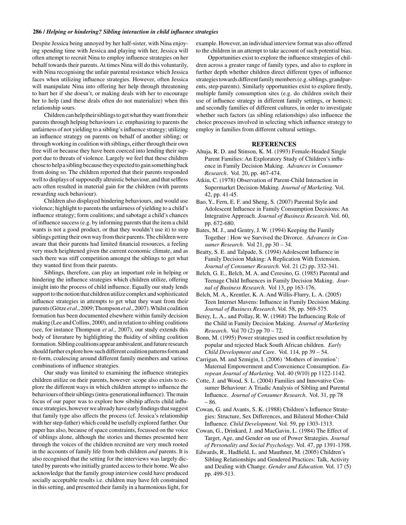Despite Jessica being annoyed by her half-sister, with Nina enjoying spending time with Jessica and playing with her, Jessica will often attempt to recruit Nina to employ influence strategies on her behalf towards their parents. At times Nina will do this voluntarily, with Nina recognising the unfair parental resistance which Jessica faces when utilizing influence strategies. However, often Jessica will manipulate Nina into offering her help through threatening to hurt her if she doesn't, or making deals with her to encourage her to help (and these deals often do not materialize) when this relationship sours.

Children can help their siblings to get what they want from their parents through helping behaviours *i.e.* emphasizing to parents the unfairness of not yielding to a sibling's influence strategy; utilizing an influence strategy on parents on behalf of another sibling; or through working in coalition with siblings, either through their own free will or because they have been coerced into lending their support due to threats of violence. Largely we feel that these children chose to help a sibling because they expected to gain something back from doing so. The children reported that their parents responded well to displays of supposedly altruistic behaviour, and that selfless acts often resulted in material gain for the children (with parents rewarding such behaviour).

Children also displayed hindering behaviours, and would use violence; highlight to parents the unfairness of yielding to a child's influence strategy; form coalitions; and sabotage a child's chances of influence success (e.g. by informing parents that the item a child wants is not a good product, or that they wouldn't use it) to stop siblings getting their own way from their parents. The children were aware that their parents had limited financial resources, a feeling very much heightened given the current economic climate, and as such there was stiff competition amongst the siblings to get what they wanted first from their parents.

Siblings, therefore, can play an important role in helping or hindering the influence strategies which children utilize, offering insight into the process of child influence. Equally our study lends support to the notion that children utilize complex and sophisticated influence strategies in attempts to get what they want from their parents (Götze et al., 2009; Thompson et al., 2007). Whilst coalition formation has been documented elsewhere within family decision making (Lee and Collins, 2000), and in relation to sibling coalitions (see, for instance Thompson et al., 2007), our study extends this body of literature by highlighting the fluidity of sibling coalition formation. Sibling coalitions appear ambivalent, and future research should further explore how such different coalition patterns form and re-form, coalescing around different family members and various combinations of influence strategies.

Our study was limited to examining the influence strategies children utilize on their parents, however scope also exists to explore the different ways in which children attempt to influence the behaviours of their siblings (intra-generational influence). The main focus of our paper was to explore how sibship affects child influence strategies, however we already have early findings that suggest that family type also affects the process (cf. Jessica's relationship with her step-father) which could be usefully explored further. Our paper has also, because of space constraints, focussed on the voice of siblings alone, although the stories and themes presented here through the voices of the children recruited are very much rooted in the accounts of family life from both children and parents. It is also recognised that the setting for the interviews was largely dictated by parents who initially granted access to their home. We also acknowledge that the family group interview could have produced socially acceptable results i.e. children may have felt constrained in this setting, and presented their family in a harmonious light, for example. However, an individual interview format was also offered to the children in an attempt to take account of such potential bias.

Opportunities exist to explore the influence strategies of children across a greater range of family types, and also to explore in further depth whether children direct different types of influence strategies towards different family members (e.g. siblings, grandparents, step-parents). Similarly opportunities exist to explore firstly, multiple family consumption sites (e.g. do children switch their use of influence strategy in different family settings, or homes); and secondly families of different cultures, in order to investigate whether such factors (as sibling relationships) also influence the choice processes involved in selecting which influence strategy to employ in families from different cultural settings.

#### **REFERENCES**

- Ahuja, R. D. and Stinson, K. M. (1993) Female-Headed Single Parent Families: An Exploratory Study of Children's influence in Family Decision Making. Advances in Consumer Research. Vol. 20, pp. 467-474.
- Atkin, C. (1978) Observation of Parent-Child Interaction in Supermarket Decision-Making. Journal of Marketing. Vol. 42, pp. 41-45.
- Bao, Y., Fern, E. F. and Sheng, S. (2007) Parental Style and Adolescent Influence in Family Consumption Decisions: An Integrative Approach. Journal of Business Research. Vol. 60, pp. 672-680.
- Bates, M. J., and Gentry, J. W. (1994) Keeping the Family Together : How we Survived the Divorce. Advances in Consumer Research. Vol 21, pp 30 - 34.
- Beatty, S. E. and Talpade, S. (1994) Adolescent Influence in Family Decision Making: A Replication With Extension. Journal of Consumer Research. Vol. 21 (2) pp. 332-341.
- Belch, G. E., Belch, M. A. and Ceresino, G. (1985) Parental and Teenage Child Influences in Family Decision Making. Journal of Business Research. Vol 13, pp 163-176.
- Belch, M. A., Krentler, K. A. And Willis-Flurry, L. A. (2005) Teen Internet Mavens: Influence in Family Decision Making. Journal of Business Research. Vol. 58, pp. 569-575.
- Berey, L. A., and Pollay, R. W. (1968) The Influencing Role of the Child in Family Decision Making. Journal of Marketing *Research.* Vol 70 (2) pp  $70 - 72$ .
- Bonn, M. (1995) Power strategies used in conflict resolution by popular and rejected black South African children. Early Child Development and Care. Vol. 114, pp 39 - 54.
- Carrigan, M. and Szmigin, I. (2006) 'Mothers of invention': Maternal Empowerment and Convenience Consumption. European Journal of Marketing. Vol. 40 (9/10) pp 1122-1142.
- Cotte, J. and Wood, S. L. (2004) Families and Innovative Consumer Behaviour: A Triadic Analysis of Sibling and Parental Influence. Journal of Consumer Research. Vol. 31, pp 78  $-86.$
- Cowan, G. and Avants, S. K. (1988) Children's Influence Strategies: Structure, Sex Differences, and Bilateral Mother-Child Influence. Child Development. Vol. 59, pp 1303-1313.
- Cowan, G., Drinkard, J. and MacGavin, L. (1984) The Effect of Target, Age, and Gender on use of Power Strategies. Journal of Personality and Social Psychology. Vol. 47, pp 1391-1398.
- Edwards, R., Hadfield, L. and Mauthner, M. (2005) Children's Sibling Relationships and Gendered Practices: Talk, Activity and Dealing with Change. Gender and Education. Vol. 17 (5) pp. 499-513.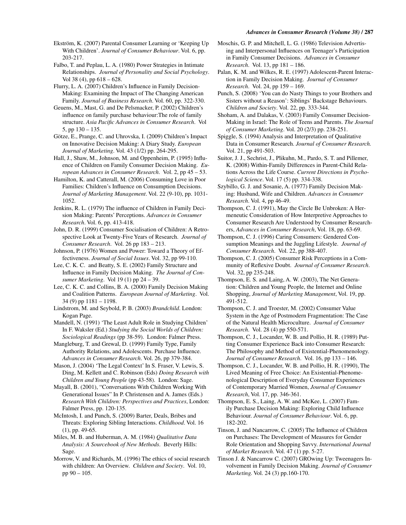#### **Advances in Consumer Research (Volume 38) / 287**

Ekström, K. (2007) Parental Consumer Learning or 'Keeping Up With Children'. Journal of Consumer Behaviour. Vol. 6, pp. 203-217

Falbo, T. and Peplau, L. A. (1980) Power Strategies in Intimate Relationships. Journal of Personality and Social Psychology. Vol 38 (4), pp  $618 - 628$ .

Flurry, L. A. (2007) Children's Influence in Family Decision-Making: Examining the Impact of The Changing American Family. Journal of Business Research. Vol. 60, pp. 322-330.

Geuens, M., Mast, G. and De Pelsmacker, P. (2002) Children's influence on family purchase behaviour: The role of family structure. Asia Pacific Advances in Consumer Research. Vol 5, pp  $130 - 135$ .

Götze, E., Prange, C. and Uhrovska, I. (2009) Children's Impact on Innovative Decision Making: A Diary Study. European Journal of Marketing. Vol. 43 (1/2) pp. 264-295.

Hall, J., Shaw, M., Johnson, M. and Oppenheim, P. (1995) Influence of Children on Family Consumer Decision Making. European Advances in Consumer Research. Vol. 2, pp 45 – 53.

Hamilton, K. and Catterall, M. (2006) Consuming Love in Poor Families: Children's Influence on Consumption Decisions. Journal of Marketing Management. Vol. 22 (9-10), pp. 1031-1052.

Jenkins, R. L. (1979) The influence of Children in Family Decision Making: Parents' Perceptions. Advances in Consumer Research. Vol. 6, pp. 413-418.

John, D. R. (1999) Consumer Socialisation of Children: A Retrospective Look at Twenty-Five Years of Research. Journal of Consumer Research. Vol. 26 pp 183 - 213.

Johnson, P. (1976) Women and Power: Toward a Theory of Effectiveness. Journal of Social Issues. Vol. 32, pp 99-110.

Lee, C. K. C. and Beatty, S. E. (2002) Family Structure and Influence in Family Decision Making. The Journal of Consumer Marketing. Vol 19 (1) pp  $24 - 39$ .

Lee, C. K. C. and Collins, B. A. (2000) Family Decision Making and Coalition Patterns. European Journal of Marketing. Vol.  $34(9)$  pp  $1181 - 1198$ .

Lindstrom, M. and Seybold, P. B. (2003) Brandchild. London: Kogan Page.

Mandell, N. (1991) 'The Least Adult Role in Studying Children' In F. Waksler (Ed.) Studying the Social Worlds of Children: Sociological Readings (pp 38-59). London: Falmer Press.

Mangleburg, T. and Grewal, D. (1999) Family Type, Family Authority Relations, and Adolescents. Purchase Influence. Advances in Consumer Research. Vol. 26, pp 379-384.

Mason, J. (2004) 'The Legal Context' In S. Fraser, V. Lewis, S. Ding, M. Kellett and C. Robinson (Eds) Doing Research with Children and Young People (pp 43-58). London: Sage.

Mayall, B. (2001), "Conversations With Children Working With Generational Issues" In P. Christensen and A. James (Eds.) Research With Children: Perspectives and Practices, London: Falmer Press, pp. 120-135.

McIntosh, I. and Punch, S. (2009) Barter, Deals, Bribes and Threats: Exploring Sibling Interactions. Childhood. Vol. 16  $(1)$ , pp. 49-65.

Miles, M. B. and Huberman, A. M. (1984) Qualitative Data Analysis: A Sourcebook of New Methods. Beverly Hills: Sage.

Morrow, V. and Richards, M. (1996) The ethics of social research with children: An Overview. Children and Society. Vol. 10, pp 90 - 105.

Moschis, G. P. and Mitchell, L. G. (1986) Television Advertising and Interpersonal Influences on Teenager's Participation in Family Consumer Decisions. Advances in Consumer Research. Vol. 13, pp 181 - 186.

Palan, K. M. and Wilkes, R. E. (1997) Adolescent-Parent Interaction in Family Decision Making. Journal of Consumer Research. Vol. 24, pp 159 - 169.

Punch, S. (2008) 'You can do Nasty Things to your Brothers and Sisters without a Reason': Siblings' Backstage Behaviours. Children and Society. Vol. 22, pp. 333-344.

Shoham, A. and Dalakas, V. (2003) Family Consumer Decision-Making in Israel: The Role of Teens and Parents. The Journal of Consumer Marketing. Vol. 20 (2/3) pp. 238-251.

Spiggle, S. (1994) Analysis and Interpretation of Qualitative Data in Consumer Research. Journal of Consumer Research. Vol. 21, pp 491-503.

Suitor, J. J., Sechrist, J., Plikuhn, M., Pardo, S. T. and Pillemer, K. (2008) Within-Family Differences in Parent-Child Relations Across the Life Course. Current Directions in Psychological Science. Vol. 17 (5) pp. 334-338.

Szybillo, G. J. and Sosanie, A. (1977) Family Decision Making: Husband, Wife and Children. Advances in Consumer Research. Vol. 4, pp 46-49.

Thompson, C. J. (1991), May the Circle Be Unbroken: A Hermeneutic Consideration of How Interpretive Approaches to Consumer Research Are Understood by Consumer Researchers, Advances in Consumer Research, Vol. 18, pp. 63-69.

Thompson, C. J. (1996) Caring Consumers: Gendered Consumption Meanings and the Juggling Lifestyle. Journal of Consumer Research. Vol. 22, pp 388-407.

Thompson, C. J. (2005) Consumer Risk Perceptions in a Community of Reflexive Doubt. Journal of Consumer Research. Vol. 32, pp 235-248.

Thompson, E. S. and Laing, A. W. (2003), The Net Generation: Children and Young People, the Internet and Online Shopping, Journal of Marketing Management, Vol. 19, pp. 491-512.

Thompson, C. J. and Troester, M. (2002) Consumer Value System in the Age of Postmodern Fragmentation: The Case of the Natural Health Microculture. Journal of Consumer Research. Vol. 28 (4) pp 550-571.

Thompson, C. J., Locander, W. B. and Pollio, H. R. (1989) Putting Consumer Experience Back into Consumer Research: The Philosophy and Method of Existential-Phenomenology. Journal of Consumer Research. Vol. 16, pp 133 – 146.

Thompson, C. J., Locander, W. B. and Pollio, H. R. (1990), The Lived Meaning of Free Choice: An Existential-Phenomenological Description of Everyday Consumer Experiences of Contemporary Married Women, Journal of Consumer Research, Vol. 17, pp. 346-361.

Thompson, E. S., Laing, A. W. and McKee, L. (2007) Family Purchase Decision Making: Exploring Child Influence Behaviour. Journal of Consumer Behaviour. Vol. 6, pp. 182-202.

Tinson, J. and Nancarrow, C. (2005) The Influence of Children on Purchases: The Development of Measures for Gender Role Orientation and Shopping Savvy. International Journal of Market Research. Vol. 47 (1) pp. 5-27.

Tinson J. & Nancarrow C. (2007) GROwing Up: Tweenagers Involvement in Family Decision Making. Journal of Consumer Marketing. Vol. 24 (3) pp.160-170.